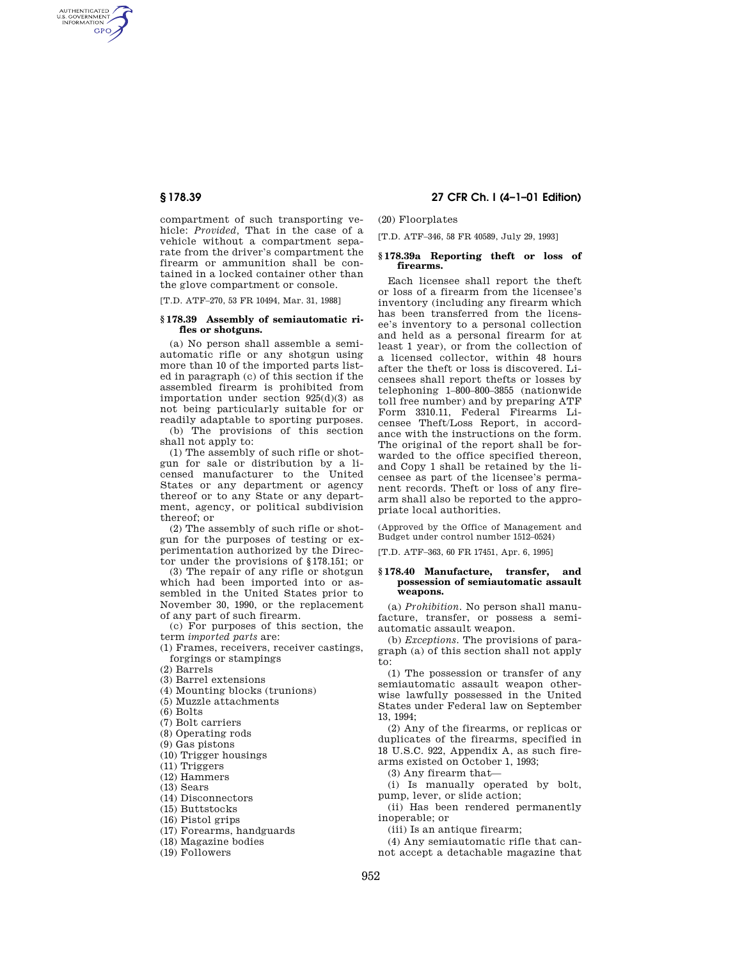AUTHENTICATED<br>U.S. GOVERNMENT<br>INFORMATION **GPO** 

> compartment of such transporting vehicle: *Provided,* That in the case of a vehicle without a compartment separate from the driver's compartment the firearm or ammunition shall be contained in a locked container other than the glove compartment or console.

[T.D. ATF–270, 53 FR 10494, Mar. 31, 1988]

## **§ 178.39 Assembly of semiautomatic rifles or shotguns.**

(a) No person shall assemble a semiautomatic rifle or any shotgun using more than 10 of the imported parts listed in paragraph (c) of this section if the assembled firearm is prohibited from importation under section 925(d)(3) as not being particularly suitable for or readily adaptable to sporting purposes.

(b) The provisions of this section shall not apply to:

(1) The assembly of such rifle or shotgun for sale or distribution by a licensed manufacturer to the United States or any department or agency thereof or to any State or any department, agency, or political subdivision thereof; or

(2) The assembly of such rifle or shotgun for the purposes of testing or experimentation authorized by the Director under the provisions of § 178.151; or

(3) The repair of any rifle or shotgun which had been imported into or assembled in the United States prior to November 30, 1990, or the replacement of any part of such firearm.

(c) For purposes of this section, the term *imported parts* are:

(1) Frames, receivers, receiver castings, forgings or stampings

(2) Barrels

(3) Barrel extensions

(4) Mounting blocks (trunions)

(5) Muzzle attachments

 $(6)$  Bolts

(7) Bolt carriers

(8) Operating rods

(9) Gas pistons

(10) Trigger housings

(11) Triggers

(12) Hammers

(13) Sears

(14) Disconnectors

(15) Buttstocks

(16) Pistol grips

(17) Forearms, handguards

(18) Magazine bodies

(19) Followers

# **§ 178.39 27 CFR Ch. I (4–1–01 Edition)**

(20) Floorplates

[T.D. ATF–346, 58 FR 40589, July 29, 1993]

# **§ 178.39a Reporting theft or loss of firearms.**

Each licensee shall report the theft or loss of a firearm from the licensee's inventory (including any firearm which has been transferred from the licensee's inventory to a personal collection and held as a personal firearm for at least 1 year), or from the collection of a licensed collector, within 48 hours after the theft or loss is discovered. Licensees shall report thefts or losses by telephoning 1–800–800–3855 (nationwide toll free number) and by preparing ATF Form 3310.11, Federal Firearms Licensee Theft/Loss Report, in accordance with the instructions on the form. The original of the report shall be forwarded to the office specified thereon, and Copy 1 shall be retained by the licensee as part of the licensee's permanent records. Theft or loss of any firearm shall also be reported to the appropriate local authorities.

(Approved by the Office of Management and Budget under control number 1512–0524)

[T.D. ATF–363, 60 FR 17451, Apr. 6, 1995]

#### **§ 178.40 Manufacture, transfer, and possession of semiautomatic assault weapons.**

(a) *Prohibition.* No person shall manufacture, transfer, or possess a semiautomatic assault weapon.

(b) *Exceptions.* The provisions of paragraph (a) of this section shall not apply to:

(1) The possession or transfer of any semiautomatic assault weapon otherwise lawfully possessed in the United States under Federal law on September 13, 1994;

(2) Any of the firearms, or replicas or duplicates of the firearms, specified in 18 U.S.C. 922, Appendix A, as such firearms existed on October 1, 1993;

(3) Any firearm that—

(i) Is manually operated by bolt, pump, lever, or slide action;

(ii) Has been rendered permanently inoperable; or

(iii) Is an antique firearm;

(4) Any semiautomatic rifle that cannot accept a detachable magazine that